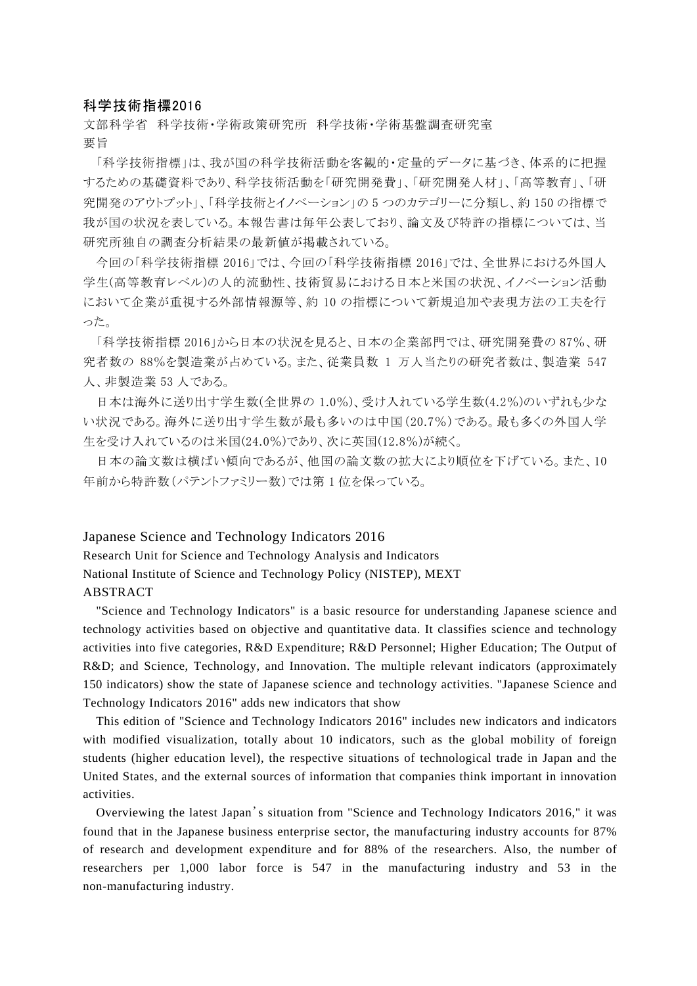## 科学技術指標2016

文部科学省 科学技術・学術政策研究所 科学技術・学術基盤調査研究室 要旨

「科学技術指標」は、我が国の科学技術活動を客観的・定量的データに基づき、体系的に把握 するための基礎資料であり、科学技術活動を「研究開発費」、「研究開発人材」、「高等教育」、「研 究開発のアウトプット」、「科学技術とイノベーション」の 5 つのカテゴリーに分類し、約 150 の指標で 我が国の状況を表している。本報告書は毎年公表しており、論文及び特許の指標については、当 研究所独自の調査分析結果の最新値が掲載されている。

今回の「科学技術指標 2016」では、今回の「科学技術指標 2016」では、全世界における外国人 学生(高等教育レベル)の人的流動性、技術貿易における日本と米国の状況、イノベーション活動 において企業が重視する外部情報源等、約 10 の指標について新規追加や表現方法の工夫を行 った。

「科学技術指標 2016」から日本の状況を見ると、日本の企業部門では、研究開発費の 87%、研 究者数の 88%を製造業が占めている。また、従業員数 1 万人当たりの研究者数は、製造業 547 人、非製造業 53 人である。

日本は海外に送り出す学生数(全世界の 1.0%)、受け入れている学生数(4.2%)のいずれも少な い状況である。海外に送り出す学生数が最も多いのは中国(20.7%)である。最も多くの外国人学 生を受け入れているのは米国(24.0%)であり、次に英国(12.8%)が続く。

日本の論文数は横ばい傾向であるが、他国の論文数の拡大により順位を下げている。また、10 年前から特許数(パテントファミリー数)では第 1 位を保っている。

## Japanese Science and Technology Indicators 2016

Research Unit for Science and Technology Analysis and Indicators National Institute of Science and Technology Policy (NISTEP), MEXT ABSTRACT

"Science and Technology Indicators" is a basic resource for understanding Japanese science and technology activities based on objective and quantitative data. It classifies science and technology activities into five categories, R&D Expenditure; R&D Personnel; Higher Education; The Output of R&D; and Science, Technology, and Innovation. The multiple relevant indicators (approximately 150 indicators) show the state of Japanese science and technology activities. "Japanese Science and Technology Indicators 2016" adds new indicators that show

This edition of "Science and Technology Indicators 2016" includes new indicators and indicators with modified visualization, totally about 10 indicators, such as the global mobility of foreign students (higher education level), the respective situations of technological trade in Japan and the United States, and the external sources of information that companies think important in innovation activities.

Overviewing the latest Japan's situation from "Science and Technology Indicators 2016," it was found that in the Japanese business enterprise sector, the manufacturing industry accounts for 87% of research and development expenditure and for 88% of the researchers. Also, the number of researchers per 1,000 labor force is 547 in the manufacturing industry and 53 in the non-manufacturing industry.